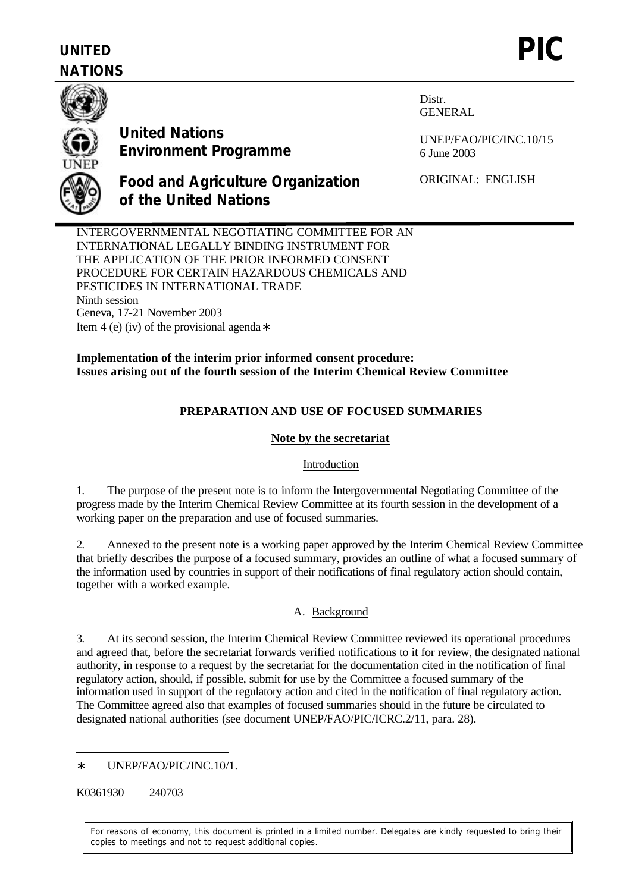# **UNITED NATIONS**



**United Nations Environment Programme** **Distr.** GENERAL

UNEP/FAO/PIC/INC.10/15 6 June 2003

**Food and Agriculture Organization of the United Nations**

ORIGINAL: ENGLISH

INTERGOVERNMENTAL NEGOTIATING COMMITTEE FOR AN INTERNATIONAL LEGALLY BINDING INSTRUMENT FOR THE APPLICATION OF THE PRIOR INFORMED CONSENT PROCEDURE FOR CERTAIN HAZARDOUS CHEMICALS AND PESTICIDES IN INTERNATIONAL TRADE Ninth session Geneva, 17-21 November 2003 Item 4 (e) (iv) of the provisional agenda∗

**Implementation of the interim prior informed consent procedure: Issues arising out of the fourth session of the Interim Chemical Review Committee** 

# **PREPARATION AND USE OF FOCUSED SUMMARIES**

## **Note by the secretariat**

## Introduction

1. The purpose of the present note is to inform the Intergovernmental Negotiating Committee of the progress made by the Interim Chemical Review Committee at its fourth session in the development of a working paper on the preparation and use of focused summaries.

2. Annexed to the present note is a working paper approved by the Interim Chemical Review Committee that briefly describes the purpose of a focused summary, provides an outline of what a focused summary of the information used by countries in support of their notifications of final regulatory action should contain, together with a worked example.

# A. Background

3. At its second session, the Interim Chemical Review Committee reviewed its operational procedures and agreed that, before the secretariat forwards verified notifications to it for review, the designated national authority, in response to a request by the secretariat for the documentation cited in the notification of final regulatory action, should, if possible, submit for use by the Committee a focused summary of the information used in support of the regulatory action and cited in the notification of final regulatory action. The Committee agreed also that examples of focused summaries should in the future be circulated to designated national authorities (see document UNEP/FAO/PIC/ICRC.2/11, para. 28).

K0361930 240703

 $\overline{a}$ 

For reasons of economy, this document is printed in a limited number. Delegates are kindly requested to bring their copies to meetings and not to request additional copies.

<sup>∗</sup> UNEP/FAO/PIC/INC.10/1.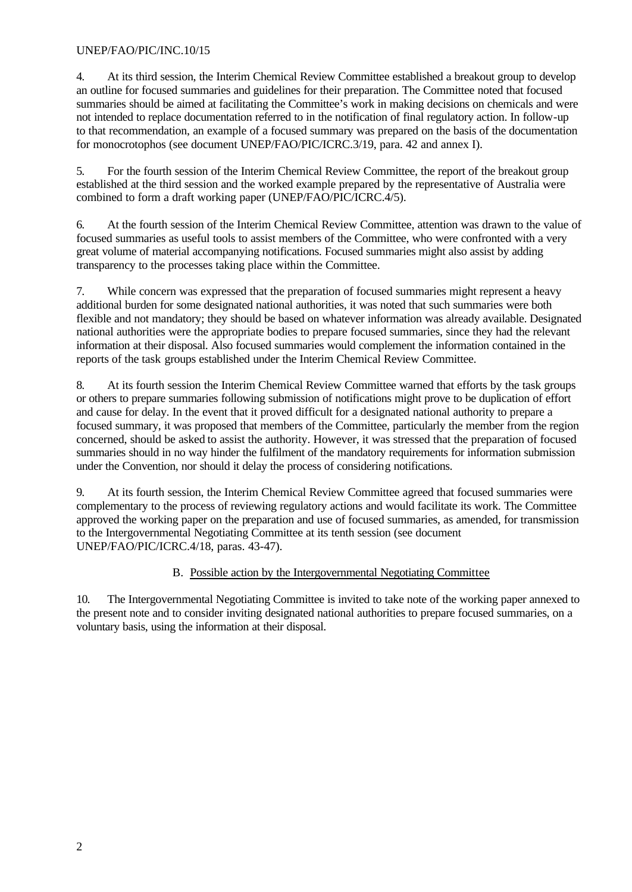## UNEP/FAO/PIC/INC.10/15

4. At its third session, the Interim Chemical Review Committee established a breakout group to develop an outline for focused summaries and guidelines for their preparation. The Committee noted that focused summaries should be aimed at facilitating the Committee's work in making decisions on chemicals and were not intended to replace documentation referred to in the notification of final regulatory action. In follow-up to that recommendation, an example of a focused summary was prepared on the basis of the documentation for monocrotophos (see document UNEP/FAO/PIC/ICRC.3/19, para. 42 and annex I).

5. For the fourth session of the Interim Chemical Review Committee, the report of the breakout group established at the third session and the worked example prepared by the representative of Australia were combined to form a draft working paper (UNEP/FAO/PIC/ICRC.4/5).

6. At the fourth session of the Interim Chemical Review Committee, attention was drawn to the value of focused summaries as useful tools to assist members of the Committee, who were confronted with a very great volume of material accompanying notifications. Focused summaries might also assist by adding transparency to the processes taking place within the Committee.

7. While concern was expressed that the preparation of focused summaries might represent a heavy additional burden for some designated national authorities, it was noted that such summaries were both flexible and not mandatory; they should be based on whatever information was already available. Designated national authorities were the appropriate bodies to prepare focused summaries, since they had the relevant information at their disposal. Also focused summaries would complement the information contained in the reports of the task groups established under the Interim Chemical Review Committee.

8. At its fourth session the Interim Chemical Review Committee warned that efforts by the task groups or others to prepare summaries following submission of notifications might prove to be duplication of effort and cause for delay. In the event that it proved difficult for a designated national authority to prepare a focused summary, it was proposed that members of the Committee, particularly the member from the region concerned, should be asked to assist the authority. However, it was stressed that the preparation of focused summaries should in no way hinder the fulfilment of the mandatory requirements for information submission under the Convention, nor should it delay the process of considering notifications.

9. At its fourth session, the Interim Chemical Review Committee agreed that focused summaries were complementary to the process of reviewing regulatory actions and would facilitate its work. The Committee approved the working paper on the preparation and use of focused summaries, as amended, for transmission to the Intergovernmental Negotiating Committee at its tenth session (see document UNEP/FAO/PIC/ICRC.4/18, paras. 43-47).

## B. Possible action by the Intergovernmental Negotiating Committee

10. The Intergovernmental Negotiating Committee is invited to take note of the working paper annexed to the present note and to consider inviting designated national authorities to prepare focused summaries, on a voluntary basis, using the information at their disposal.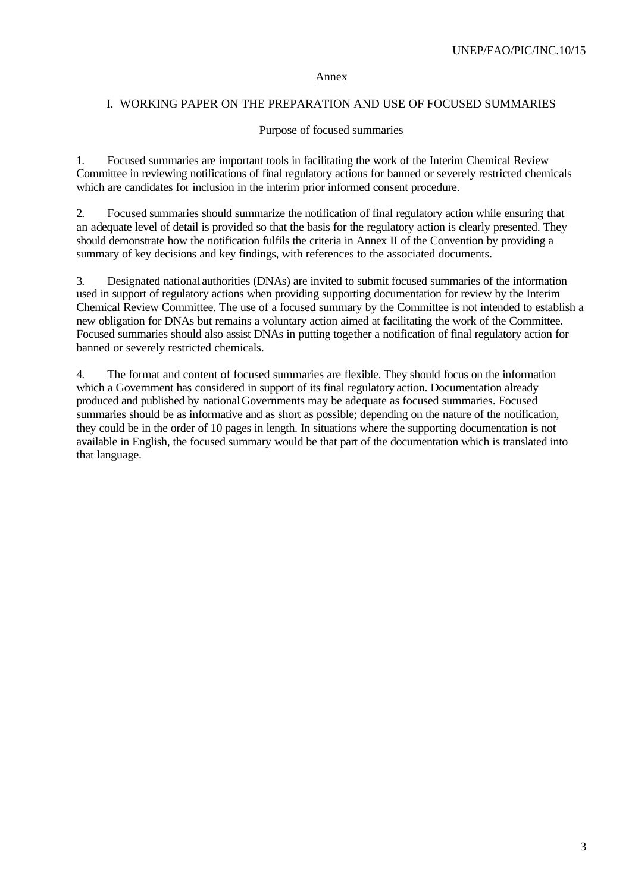#### Annex

#### I. WORKING PAPER ON THE PREPARATION AND USE OF FOCUSED SUMMARIES

#### Purpose of focused summaries

1. Focused summaries are important tools in facilitating the work of the Interim Chemical Review Committee in reviewing notifications of final regulatory actions for banned or severely restricted chemicals which are candidates for inclusion in the interim prior informed consent procedure.

2. Focused summaries should summarize the notification of final regulatory action while ensuring that an adequate level of detail is provided so that the basis for the regulatory action is clearly presented. They should demonstrate how the notification fulfils the criteria in Annex II of the Convention by providing a summary of key decisions and key findings, with references to the associated documents.

3. Designated national authorities (DNAs) are invited to submit focused summaries of the information used in support of regulatory actions when providing supporting documentation for review by the Interim Chemical Review Committee. The use of a focused summary by the Committee is not intended to establish a new obligation for DNAs but remains a voluntary action aimed at facilitating the work of the Committee. Focused summaries should also assist DNAs in putting together a notification of final regulatory action for banned or severely restricted chemicals.

4. The format and content of focused summaries are flexible. They should focus on the information which a Government has considered in support of its final regulatory action. Documentation already produced and published by national Governments may be adequate as focused summaries. Focused summaries should be as informative and as short as possible; depending on the nature of the notification, they could be in the order of 10 pages in length. In situations where the supporting documentation is not available in English, the focused summary would be that part of the documentation which is translated into that language.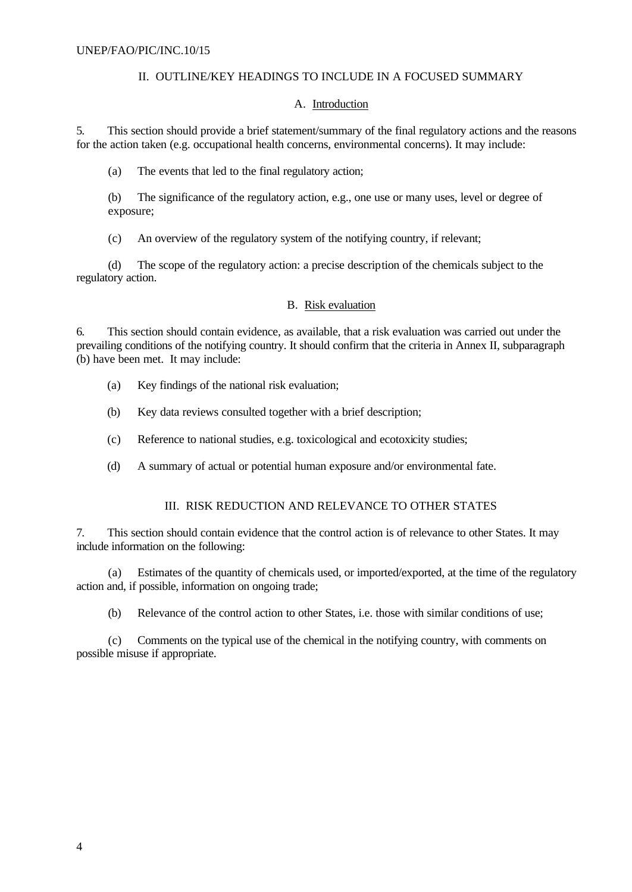# II. OUTLINE/KEY HEADINGS TO INCLUDE IN A FOCUSED SUMMARY

#### A. Introduction

5. This section should provide a brief statement/summary of the final regulatory actions and the reasons for the action taken (e.g. occupational health concerns, environmental concerns). It may include:

(a) The events that led to the final regulatory action;

(b) The significance of the regulatory action, e.g., one use or many uses, level or degree of exposure;

(c) An overview of the regulatory system of the notifying country, if relevant;

(d) The scope of the regulatory action: a precise description of the chemicals subject to the regulatory action.

## B. Risk evaluation

6. This section should contain evidence, as available, that a risk evaluation was carried out under the prevailing conditions of the notifying country. It should confirm that the criteria in Annex II, subparagraph (b) have been met. It may include:

- (a) Key findings of the national risk evaluation;
- (b) Key data reviews consulted together with a brief description;
- (c) Reference to national studies, e.g. toxicological and ecotoxicity studies;
- (d) A summary of actual or potential human exposure and/or environmental fate.

## III. RISK REDUCTION AND RELEVANCE TO OTHER STATES

7. This section should contain evidence that the control action is of relevance to other States. It may include information on the following:

(a) Estimates of the quantity of chemicals used, or imported/exported, at the time of the regulatory action and, if possible, information on ongoing trade;

(b) Relevance of the control action to other States, i.e. those with similar conditions of use;

(c) Comments on the typical use of the chemical in the notifying country, with comments on possible misuse if appropriate.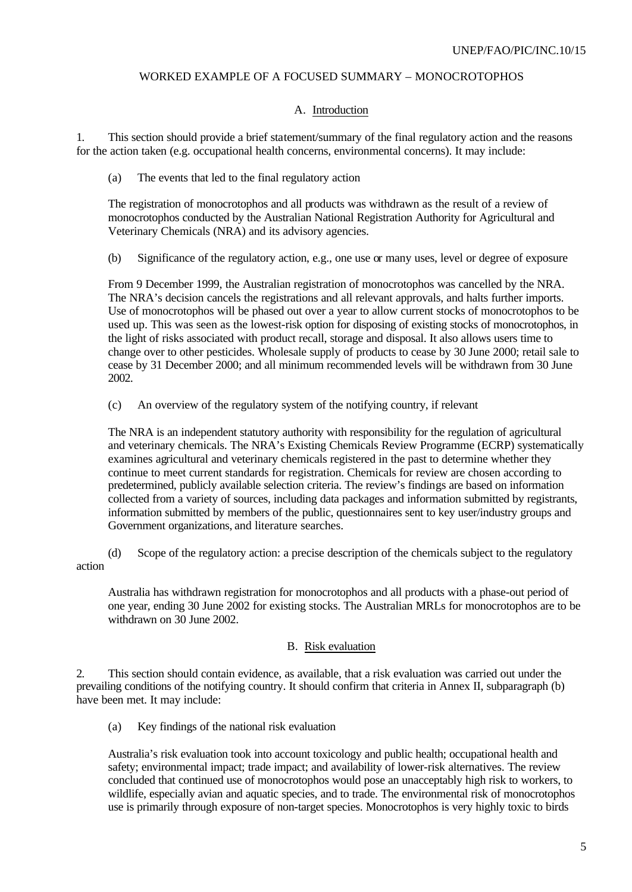## WORKED EXAMPLE OF A FOCUSED SUMMARY – MONOCROTOPHOS

#### A. Introduction

1. This section should provide a brief statement/summary of the final regulatory action and the reasons for the action taken (e.g. occupational health concerns, environmental concerns). It may include:

(a) The events that led to the final regulatory action

The registration of monocrotophos and all products was withdrawn as the result of a review of monocrotophos conducted by the Australian National Registration Authority for Agricultural and Veterinary Chemicals (NRA) and its advisory agencies.

(b) Significance of the regulatory action, e.g., one use or many uses, level or degree of exposure

From 9 December 1999, the Australian registration of monocrotophos was cancelled by the NRA. The NRA's decision cancels the registrations and all relevant approvals, and halts further imports. Use of monocrotophos will be phased out over a year to allow current stocks of monocrotophos to be used up. This was seen as the lowest-risk option for disposing of existing stocks of monocrotophos, in the light of risks associated with product recall, storage and disposal. It also allows users time to change over to other pesticides. Wholesale supply of products to cease by 30 June 2000; retail sale to cease by 31 December 2000; and all minimum recommended levels will be withdrawn from 30 June 2002.

(c) An overview of the regulatory system of the notifying country, if relevant

The NRA is an independent statutory authority with responsibility for the regulation of agricultural and veterinary chemicals. The NRA's Existing Chemicals Review Programme (ECRP) systematically examines agricultural and veterinary chemicals registered in the past to determine whether they continue to meet current standards for registration. Chemicals for review are chosen according to predetermined, publicly available selection criteria. The review's findings are based on information collected from a variety of sources, including data packages and information submitted by registrants, information submitted by members of the public, questionnaires sent to key user/industry groups and Government organizations, and literature searches.

(d) Scope of the regulatory action: a precise description of the chemicals subject to the regulatory action

Australia has withdrawn registration for monocrotophos and all products with a phase-out period of one year, ending 30 June 2002 for existing stocks. The Australian MRLs for monocrotophos are to be withdrawn on 30 June 2002.

#### B. Risk evaluation

2. This section should contain evidence, as available, that a risk evaluation was carried out under the prevailing conditions of the notifying country. It should confirm that criteria in Annex II, subparagraph (b) have been met. It may include:

(a) Key findings of the national risk evaluation

Australia's risk evaluation took into account toxicology and public health; occupational health and safety; environmental impact; trade impact; and availability of lower-risk alternatives. The review concluded that continued use of monocrotophos would pose an unacceptably high risk to workers, to wildlife, especially avian and aquatic species, and to trade. The environmental risk of monocrotophos use is primarily through exposure of non-target species. Monocrotophos is very highly toxic to birds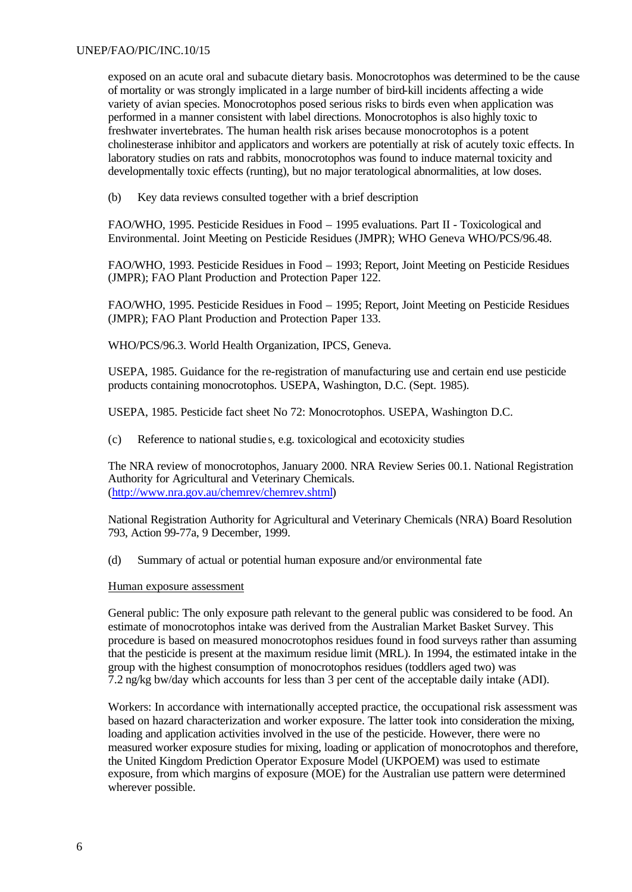exposed on an acute oral and subacute dietary basis. Monocrotophos was determined to be the cause of mortality or was strongly implicated in a large number of bird-kill incidents affecting a wide variety of avian species. Monocrotophos posed serious risks to birds even when application was performed in a manner consistent with label directions. Monocrotophos is also highly toxic to freshwater invertebrates. The human health risk arises because monocrotophos is a potent cholinesterase inhibitor and applicators and workers are potentially at risk of acutely toxic effects. In laboratory studies on rats and rabbits, monocrotophos was found to induce maternal toxicity and developmentally toxic effects (runting), but no major teratological abnormalities, at low doses.

(b) Key data reviews consulted together with a brief description

FAO/WHO, 1995. Pesticide Residues in Food – 1995 evaluations. Part II - Toxicological and Environmental. Joint Meeting on Pesticide Residues (JMPR); WHO Geneva WHO/PCS/96.48.

FAO/WHO, 1993. Pesticide Residues in Food – 1993; Report, Joint Meeting on Pesticide Residues (JMPR); FAO Plant Production and Protection Paper 122.

FAO/WHO, 1995. Pesticide Residues in Food – 1995; Report, Joint Meeting on Pesticide Residues (JMPR); FAO Plant Production and Protection Paper 133.

WHO/PCS/96.3. World Health Organization, IPCS, Geneva.

USEPA, 1985. Guidance for the re-registration of manufacturing use and certain end use pesticide products containing monocrotophos. USEPA, Washington, D.C. (Sept. 1985).

USEPA, 1985. Pesticide fact sheet No 72: Monocrotophos. USEPA, Washington D.C.

(c) Reference to national studie s, e.g. toxicological and ecotoxicity studies

The NRA review of monocrotophos, January 2000. NRA Review Series 00.1. National Registration Authority for Agricultural and Veterinary Chemicals. (http://www.nra.gov.au/chemrev/chemrev.shtml)

National Registration Authority for Agricultural and Veterinary Chemicals (NRA) Board Resolution 793, Action 99-77a, 9 December, 1999.

(d) Summary of actual or potential human exposure and/or environmental fate

#### Human exposure assessment

General public: The only exposure path relevant to the general public was considered to be food. An estimate of monocrotophos intake was derived from the Australian Market Basket Survey. This procedure is based on measured monocrotophos residues found in food surveys rather than assuming that the pesticide is present at the maximum residue limit (MRL). In 1994, the estimated intake in the group with the highest consumption of monocrotophos residues (toddlers aged two) was 7.2 ng/kg bw/day which accounts for less than 3 per cent of the acceptable daily intake (ADI).

Workers: In accordance with internationally accepted practice, the occupational risk assessment was based on hazard characterization and worker exposure. The latter took into consideration the mixing, loading and application activities involved in the use of the pesticide. However, there were no measured worker exposure studies for mixing, loading or application of monocrotophos and therefore, the United Kingdom Prediction Operator Exposure Model (UKPOEM) was used to estimate exposure, from which margins of exposure (MOE) for the Australian use pattern were determined wherever possible.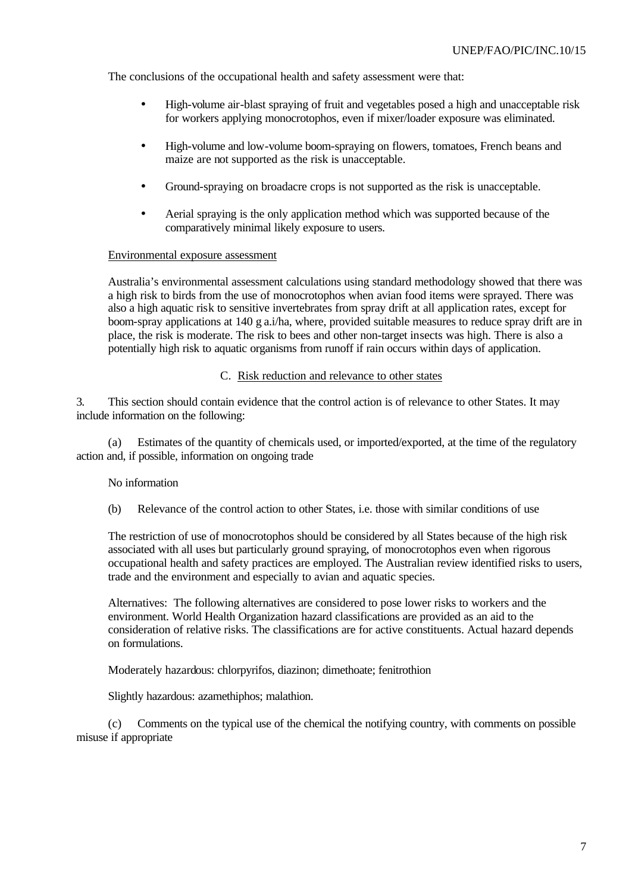The conclusions of the occupational health and safety assessment were that:

- High-volume air-blast spraying of fruit and vegetables posed a high and unacceptable risk for workers applying monocrotophos, even if mixer/loader exposure was eliminated.
- High-volume and low-volume boom-spraying on flowers, tomatoes, French beans and maize are not supported as the risk is unacceptable.
- Ground-spraying on broadacre crops is not supported as the risk is unacceptable.
- Aerial spraying is the only application method which was supported because of the comparatively minimal likely exposure to users.

#### Environmental exposure assessment

Australia's environmental assessment calculations using standard methodology showed that there was a high risk to birds from the use of monocrotophos when avian food items were sprayed. There was also a high aquatic risk to sensitive invertebrates from spray drift at all application rates, except for boom-spray applications at 140 g a.i/ha, where, provided suitable measures to reduce spray drift are in place, the risk is moderate. The risk to bees and other non-target insects was high. There is also a potentially high risk to aquatic organisms from runoff if rain occurs within days of application.

#### C. Risk reduction and relevance to other states

3. This section should contain evidence that the control action is of relevance to other States. It may include information on the following:

(a) Estimates of the quantity of chemicals used, or imported/exported, at the time of the regulatory action and, if possible, information on ongoing trade

#### No information

(b) Relevance of the control action to other States, i.e. those with similar conditions of use

The restriction of use of monocrotophos should be considered by all States because of the high risk associated with all uses but particularly ground spraying, of monocrotophos even when rigorous occupational health and safety practices are employed. The Australian review identified risks to users, trade and the environment and especially to avian and aquatic species.

Alternatives: The following alternatives are considered to pose lower risks to workers and the environment. World Health Organization hazard classifications are provided as an aid to the consideration of relative risks. The classifications are for active constituents. Actual hazard depends on formulations.

Moderately hazardous: chlorpyrifos, diazinon; dimethoate; fenitrothion

Slightly hazardous: azamethiphos; malathion.

(c) Comments on the typical use of the chemical the notifying country, with comments on possible misuse if appropriate